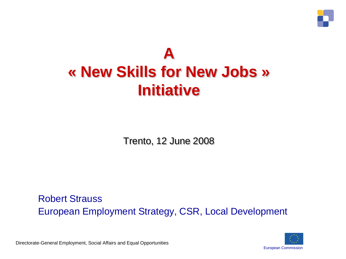

### **A « New Skills for New Jobs » Initiative**

Trento, 12 June 2008

Robert Strauss European Employment Strategy, CSR, Local Development

Directorate-General Employment, Social Affairs and Equal Opportunities

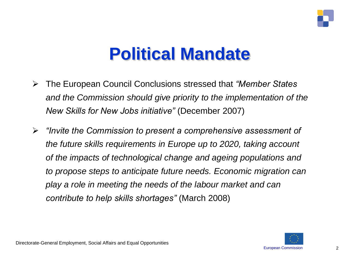

# **Political Mandate**

- The European Council Conclusions stressed that *"Member States and the Commission should give priority to the implementation of the New Skills for New Jobs initiative"* (December 2007)
- *"Invite the Commission to present a comprehensive assessment of the future skills requirements in Europe up to 2020, taking account of the impacts of technological change and ageing populations and to propose steps to anticipate future needs. Economic migration can play a role in meeting the needs of the labour market and can contribute to help skills shortages"* (March 2008)

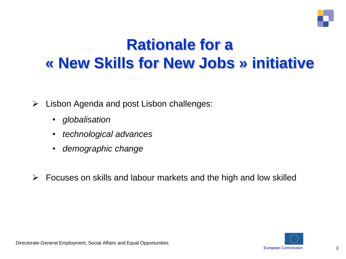

### **Rationale for a « New Skills for New Jobs » initiative**

- $\triangleright$  Lisbon Agenda and post Lisbon challenges:
	- *globalisation*
	- *technological advances*
	- *demographic change*
- $\triangleright$  Focuses on skills and labour markets and the high and low skilled

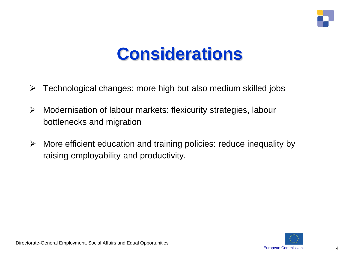

# **Considerations**

- $\triangleright$  Technological changes: more high but also medium skilled jobs
- Modernisation of labour markets: flexicurity strategies, labour bottlenecks and migration
- $\triangleright$  More efficient education and training policies: reduce inequality by raising employability and productivity.

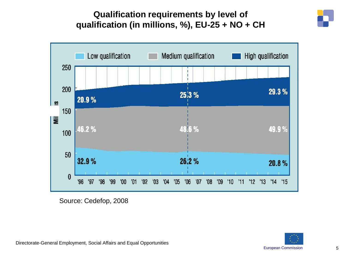#### **Qualification requirements by level of qualification (in millions, %), EU-25 + NO + CH**





Source: Cedefop, 2008

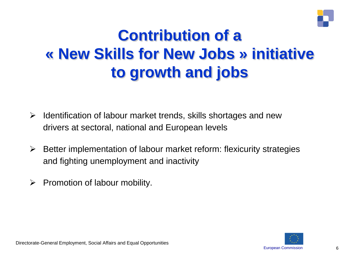

### **Contribution of a « New Skills for New Jobs » initiative to growth and jobs**

- $\triangleright$  Identification of labour market trends, skills shortages and new drivers at sectoral, national and European levels
- $\triangleright$  Better implementation of labour market reform: flexicurity strategies and fighting unemployment and inactivity
- $\triangleright$  Promotion of labour mobility.

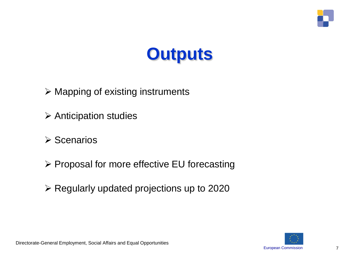

# **Outputs**

- $\triangleright$  Mapping of existing instruments
- $\triangleright$  Anticipation studies
- $\triangleright$  Scenarios
- $\triangleright$  Proposal for more effective EU forecasting
- $\triangleright$  Regularly updated projections up to 2020